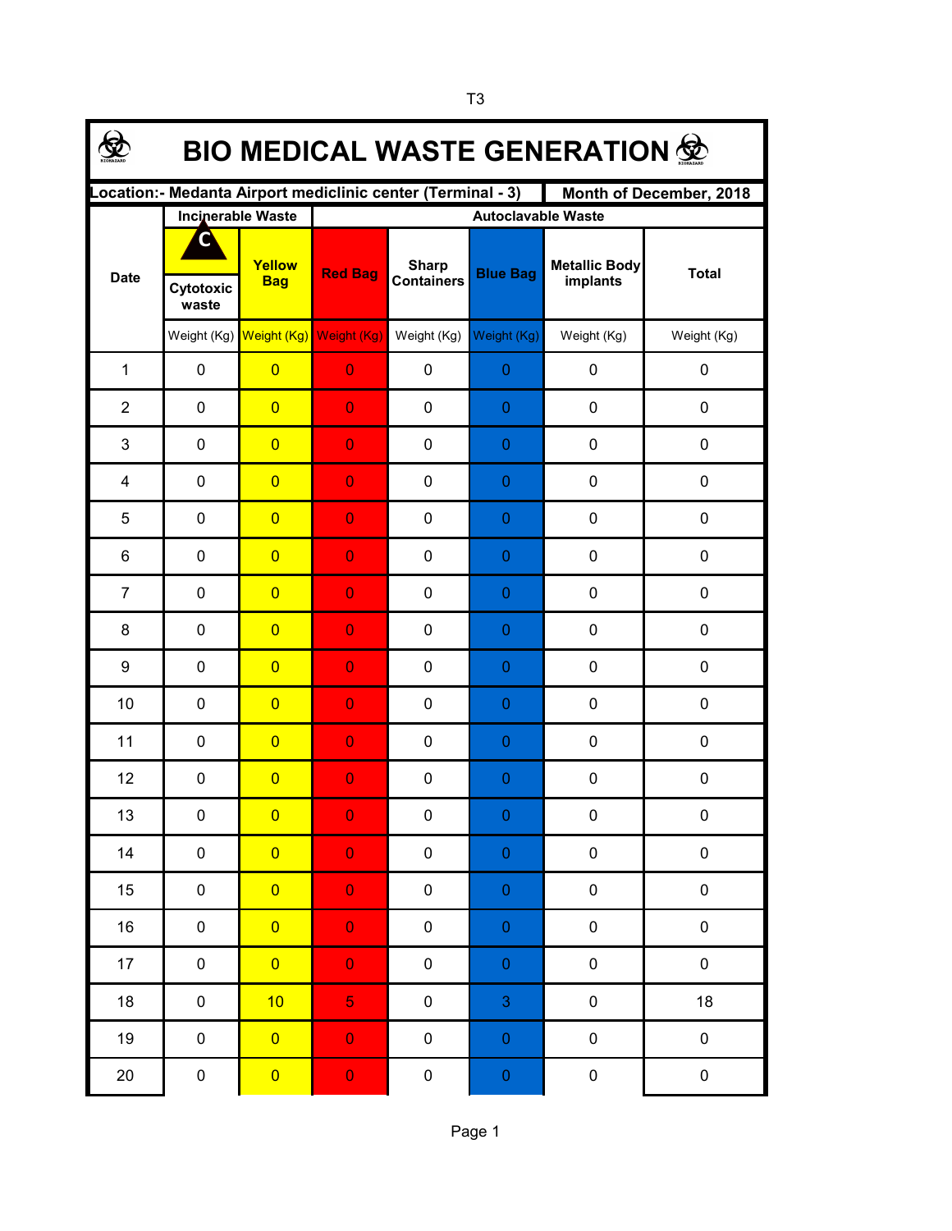| <b>BIO MEDICAL WASTE GENERATION 佥</b>                                                   |                    |                                     |                           |                                   |                  |                                  |              |  |  |  |  |
|-----------------------------------------------------------------------------------------|--------------------|-------------------------------------|---------------------------|-----------------------------------|------------------|----------------------------------|--------------|--|--|--|--|
| Location: - Medanta Airport mediclinic center (Terminal - 3)<br>Month of December, 2018 |                    |                                     |                           |                                   |                  |                                  |              |  |  |  |  |
|                                                                                         |                    | <b>Incinerable Waste</b>            | <b>Autoclavable Waste</b> |                                   |                  |                                  |              |  |  |  |  |
| <b>Date</b>                                                                             |                    | Yellow<br><b>Bag</b>                | <b>Red Bag</b>            | <b>Sharp</b><br><b>Containers</b> | <b>Blue Bag</b>  | <b>Metallic Body</b><br>implants | <b>Total</b> |  |  |  |  |
|                                                                                         | Cytotoxic<br>waste |                                     |                           |                                   |                  |                                  |              |  |  |  |  |
|                                                                                         |                    | Weight (Kg) Weight (Kg) Weight (Kg) |                           | Weight (Kg)                       | Weight (Kg)      | Weight (Kg)                      | Weight (Kg)  |  |  |  |  |
| $\mathbf{1}$                                                                            | $\pmb{0}$          | $\overline{0}$                      | $\overline{0}$            | $\pmb{0}$                         | $\pmb{0}$        | 0                                | $\pmb{0}$    |  |  |  |  |
| $\overline{2}$                                                                          | $\pmb{0}$          | $\overline{0}$                      | $\overline{0}$            | 0                                 | $\mathbf{0}$     | 0                                | $\pmb{0}$    |  |  |  |  |
| 3                                                                                       | $\pmb{0}$          | $\overline{0}$                      | $\overline{0}$            | 0                                 | $\pmb{0}$        | 0                                | $\pmb{0}$    |  |  |  |  |
| 4                                                                                       | $\pmb{0}$          | $\overline{0}$                      | $\overline{0}$            | 0                                 | $\mathbf{0}$     | 0                                | 0            |  |  |  |  |
| 5                                                                                       | $\mathbf 0$        | $\overline{0}$                      | $\overline{0}$            | 0                                 | 0                | 0                                | 0            |  |  |  |  |
| 6                                                                                       | $\mathbf 0$        | $\overline{0}$                      | $\overline{0}$            | 0                                 | 0                | 0                                | 0            |  |  |  |  |
| $\overline{7}$                                                                          | $\mathbf 0$        | $\overline{0}$                      | $\overline{0}$            | 0                                 | 0                | 0                                | 0            |  |  |  |  |
| 8                                                                                       | 0                  | $\overline{0}$                      | $\overline{0}$            | 0                                 | 0                | 0                                | 0            |  |  |  |  |
| 9                                                                                       | 0                  | $\overline{0}$                      | $\overline{0}$            | 0                                 | $\theta$         | 0                                | 0            |  |  |  |  |
| 10                                                                                      | 0                  | $\overline{0}$                      | $\overline{0}$            | 0                                 | $\theta$         | 0                                | 0            |  |  |  |  |
| 11                                                                                      | 0                  | $\overline{0}$                      | $\overline{0}$            | 0                                 | $\theta$         | 0                                | 0            |  |  |  |  |
| 12                                                                                      | $\pmb{0}$          | $\overline{0}$                      | $\overline{0}$            | 0                                 | $\theta$         | 0                                | 0            |  |  |  |  |
| 13                                                                                      | 0                  | $\overline{\mathbf{0}}$             | $\overline{0}$            | 0                                 | $\Omega$         | 0                                | 0            |  |  |  |  |
| 14                                                                                      | $\pmb{0}$          | $\overline{0}$                      | $\mathbf 0$               | $\pmb{0}$                         | $\pmb{0}$        | $\pmb{0}$                        | $\pmb{0}$    |  |  |  |  |
| 15                                                                                      | $\pmb{0}$          | $\overline{0}$                      | $\mathbf 0$               | $\pmb{0}$                         | $\pmb{0}$        | $\pmb{0}$                        | $\pmb{0}$    |  |  |  |  |
| 16                                                                                      | 0                  | $\overline{0}$                      | $\mathbf 0$               | $\pmb{0}$                         | $\pmb{0}$        | $\pmb{0}$                        | $\pmb{0}$    |  |  |  |  |
| $17 \,$                                                                                 | 0                  | $\overline{0}$                      | $\mathbf 0$               | $\pmb{0}$                         | $\pmb{0}$        | $\pmb{0}$                        | $\pmb{0}$    |  |  |  |  |
| 18                                                                                      | 0                  | 10                                  | $\overline{5}$            | $\pmb{0}$                         | $\mathbf{3}$     | $\pmb{0}$                        | 18           |  |  |  |  |
| 19                                                                                      | $\pmb{0}$          | $\overline{0}$                      | $\mathbf 0$               | $\pmb{0}$                         | $\pmb{0}$        | $\pmb{0}$                        | $\pmb{0}$    |  |  |  |  |
| 20                                                                                      | $\pmb{0}$          | $\overline{\mathbf{0}}$             | $\mathbf 0$               | $\pmb{0}$                         | $\boldsymbol{0}$ | $\pmb{0}$                        | $\pmb{0}$    |  |  |  |  |